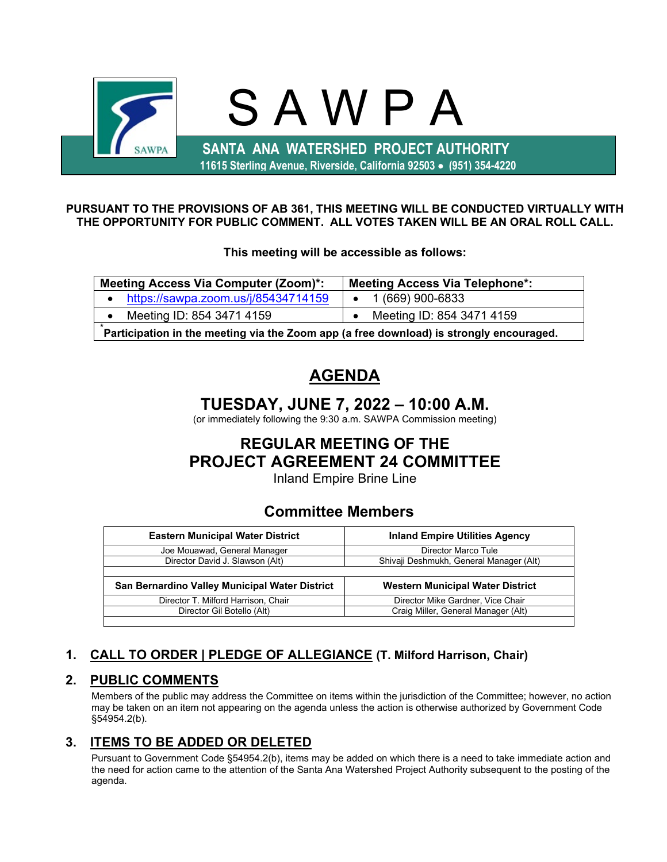

#### **PURSUANT TO THE PROVISIONS OF AB 361, THIS MEETING WILL BE CONDUCTED VIRTUALLY WITH THE OPPORTUNITY FOR PUBLIC COMMENT. ALL VOTES TAKEN WILL BE AN ORAL ROLL CALL.**

**This meeting will be accessible as follows:**

| <b>Meeting Access Via Computer (Zoom)*:</b>                                             | <b>Meeting Access Via Telephone*:</b> |  |  |
|-----------------------------------------------------------------------------------------|---------------------------------------|--|--|
| https://sawpa.zoom.us/j/85434714159                                                     | $\bullet$ 1 (669) 900-6833            |  |  |
| Meeting ID: 854 3471 4159                                                               | Meeting ID: 854 3471 4159             |  |  |
| Participation in the meeting via the Zoom app (a free download) is strongly encouraged. |                                       |  |  |

# **AGENDA**

# **TUESDAY, JUNE 7, 2022 – 10:00 A.M.**

(or immediately following the 9:30 a.m. SAWPA Commission meeting)

# **REGULAR MEETING OF THE PROJECT AGREEMENT 24 COMMITTEE**

Inland Empire Brine Line

## **Committee Members**

| <b>Eastern Municipal Water District</b>        | <b>Inland Empire Utilities Agency</b>   |  |  |
|------------------------------------------------|-----------------------------------------|--|--|
| Joe Mouawad, General Manager                   | Director Marco Tule                     |  |  |
| Director David J. Slawson (Alt)                | Shivaji Deshmukh, General Manager (Alt) |  |  |
|                                                |                                         |  |  |
| San Bernardino Valley Municipal Water District | Western Municipal Water District        |  |  |
| Director T. Milford Harrison, Chair            | Director Mike Gardner, Vice Chair       |  |  |
|                                                |                                         |  |  |
| Director Gil Botello (Alt)                     | Craig Miller, General Manager (Alt)     |  |  |

## **1. CALL TO ORDER | PLEDGE OF ALLEGIANCE (T. Milford Harrison, Chair)**

## **2. PUBLIC COMMENTS**

Members of the public may address the Committee on items within the jurisdiction of the Committee; however, no action may be taken on an item not appearing on the agenda unless the action is otherwise authorized by Government Code §54954.2(b).

## **3. ITEMS TO BE ADDED OR DELETED**

Pursuant to Government Code §54954.2(b), items may be added on which there is a need to take immediate action and the need for action came to the attention of the Santa Ana Watershed Project Authority subsequent to the posting of the agenda.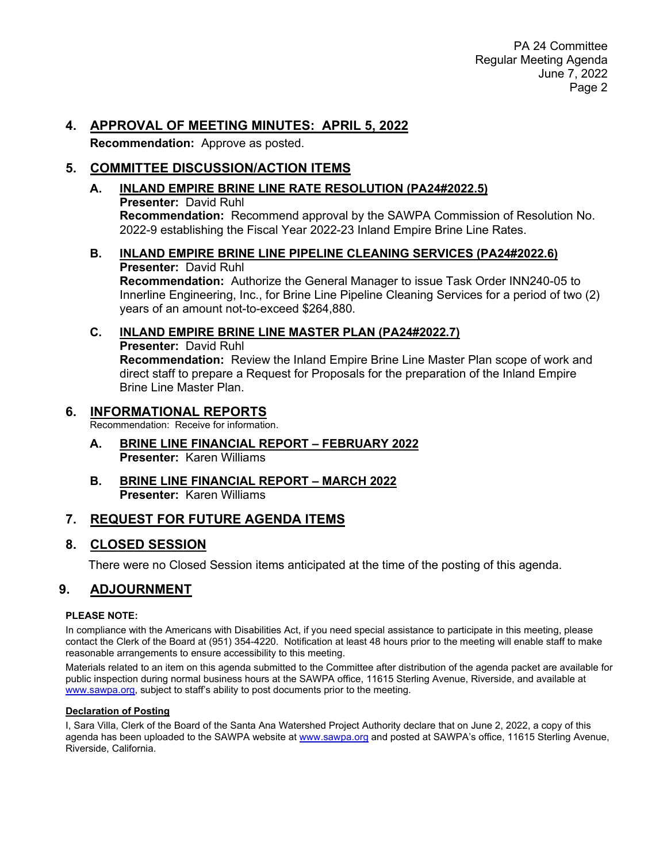### **4. APPROVAL OF MEETING MINUTES: APRIL 5, 2022**

**Recommendation:** Approve as posted.

## **5. COMMITTEE DISCUSSION/ACTION ITEMS**

#### **A. INLAND EMPIRE BRINE LINE RATE RESOLUTION (PA24#2022.5) Presenter:** David Ruhl **Recommendation:** Recommend approval by the SAWPA Commission of Resolution No. 2022-9 establishing the Fiscal Year 2022-23 Inland Empire Brine Line Rates.

#### **B. INLAND EMPIRE BRINE LINE PIPELINE CLEANING SERVICES (PA24#2022.6) Presenter:** David Ruhl **Recommendation:** Authorize the General Manager to issue Task Order INN240-05 to Innerline Engineering, Inc., for Brine Line Pipeline Cleaning Services for a period of two (2)

years of an amount not-to-exceed \$264,880.

### **C. INLAND EMPIRE BRINE LINE MASTER PLAN (PA24#2022.7)**

**Presenter:** David Ruhl **Recommendation:** Review the Inland Empire Brine Line Master Plan scope of work and direct staff to prepare a Request for Proposals for the preparation of the Inland Empire Brine Line Master Plan.

### **6. INFORMATIONAL REPORTS**

Recommendation: Receive for information.

- **A. BRINE LINE FINANCIAL REPORT – FEBRUARY 2022 Presenter:** Karen Williams
- **B. BRINE LINE FINANCIAL REPORT – MARCH 2022 Presenter:** Karen Williams

## **7. REQUEST FOR FUTURE AGENDA ITEMS**

## **8. CLOSED SESSION**

There were no Closed Session items anticipated at the time of the posting of this agenda.

## **9. ADJOURNMENT**

#### **PLEASE NOTE:**

In compliance with the Americans with Disabilities Act, if you need special assistance to participate in this meeting, please contact the Clerk of the Board at (951) 354-4220. Notification at least 48 hours prior to the meeting will enable staff to make reasonable arrangements to ensure accessibility to this meeting.

Materials related to an item on this agenda submitted to the Committee after distribution of the agenda packet are available for public inspection during normal business hours at the SAWPA office, 11615 Sterling Avenue, Riverside, and available at [www.sawpa.org,](http://www.sawpa.org/) subject to staff's ability to post documents prior to the meeting.

#### **Declaration of Posting**

I, Sara Villa, Clerk of the Board of the Santa Ana Watershed Project Authority declare that on June 2, 2022, a copy of this agenda has been uploaded to the SAWPA website at [www.sawpa.org](http://www.sawpa.org/) and posted at SAWPA's office, 11615 Sterling Avenue, Riverside, California.